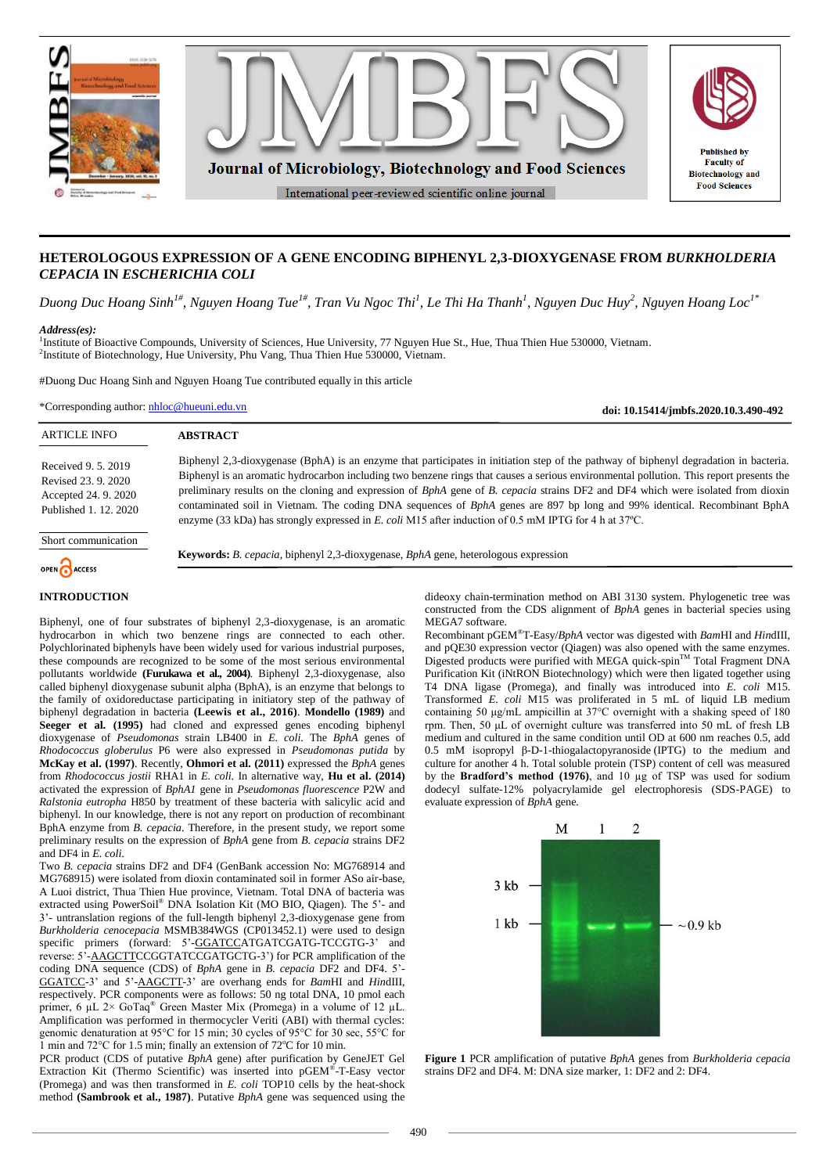

# **HETEROLOGOUS EXPRESSION OF A GENE ENCODING BIPHENYL 2,3-DIOXYGENASE FROM** *BURKHOLDERIA CEPACIA* **IN** *ESCHERICHIA COLI*

*Duong Duc Hoang Sinh1#, Nguyen Hoang Tue1#, Tran Vu Ngoc Thi<sup>1</sup> , Le Thi Ha Thanh<sup>1</sup> , Nguyen Duc Huy<sup>2</sup> , Nguyen Hoang Loc1\**

#### *Address(es):*

<sup>1</sup>Institute of Bioactive Compounds, University of Sciences, Hue University, 77 Nguyen Hue St., Hue, Thua Thien Hue 530000, Vietnam. <sup>2</sup>Institute of Biotechnology, Hue University, Phu Vang, Thua Thien Hue 530000, Vietnam.

#Duong Duc Hoang Sinh and Nguyen Hoang Tue contributed equally in this article

\*Corresponding author: [nhloc@hueuni.edu.vn](mailto:nhloc@hueuni.edu.vn)

**doi: 10.15414/jmbfs.2020.10.3.490-492**

| <b>ARTICLE INFO</b>                                                                     | <b>ABSTRACT</b>                                                                                                                                                                                                                                                                                                                                                                                                                                                                                                                                                                                                                                                            |
|-----------------------------------------------------------------------------------------|----------------------------------------------------------------------------------------------------------------------------------------------------------------------------------------------------------------------------------------------------------------------------------------------------------------------------------------------------------------------------------------------------------------------------------------------------------------------------------------------------------------------------------------------------------------------------------------------------------------------------------------------------------------------------|
| Received 9, 5, 2019<br>Revised 23, 9, 2020<br>Accepted 24.9.2020<br>Published 1.12.2020 | Biphenyl 2,3-dioxygenase (BphA) is an enzyme that participates in initiation step of the pathway of biphenyl degradation in bacteria.<br>Biphenyl is an aromatic hydrocarbon including two benzene rings that causes a serious environmental pollution. This report presents the<br>preliminary results on the cloning and expression of BphA gene of B. cepacia strains DF2 and DF4 which were isolated from dioxin<br>contaminated soil in Vietnam. The coding DNA sequences of <i>BphA</i> genes are 897 bp long and 99% identical. Recombinant BphA<br>enzyme (33 kDa) has strongly expressed in E. coli M15 after induction of 0.5 mM IPTG for 4 h at $37^{\circ}$ C. |
| Short communication<br>OPEN CACCESS                                                     | <b>Keywords:</b> B. cepacia, biphenyl 2,3-dioxygenase, BphA gene, heterologous expression                                                                                                                                                                                                                                                                                                                                                                                                                                                                                                                                                                                  |
|                                                                                         |                                                                                                                                                                                                                                                                                                                                                                                                                                                                                                                                                                                                                                                                            |

### **INTRODUCTION**

Biphenyl, one of four substrates of biphenyl 2,3-dioxygenase, is an aromatic hydrocarbon in which two benzene rings are connected to each other. Polychlorinated biphenyls have been widely used for various industrial purposes, these compounds are recognized to be some of the most serious environmental pollutants worldwide **(Furukawa et al., 2004)**. Biphenyl 2,3-dioxygenase, also called biphenyl dioxygenase subunit alpha (BphA), is an enzyme that belongs to the family of oxidoreductase participating in initiatory step of the pathway of biphenyl degradation in bacteria **(Leewis et al., 2016)**. **Mondello (1989)** and **Seeger et al. (1995)** had cloned and expressed genes encoding biphenyl dioxygenase of *Pseudomonas* strain LB400 in *E. coli*. The *BphA* genes of *Rhodococcus globerulus* P6 were also expressed in *Pseudomonas putida* by **McKay et al. (1997)**. Recently, **Ohmori et al. (2011)** expressed the *BphA* genes from *Rhodococcus jostii* RHA1 in *E. coli.* In alternative way, **Hu et al. (2014)** activated the expression of *BphA1* gene in *Pseudomonas fluorescence* P2W and *Ralstonia eutropha* H850 by treatment of these bacteria with salicylic acid and biphenyl. In our knowledge, there is not any report on production of recombinant BphA enzyme from *B. cepacia*. Therefore, in the present study, we report some preliminary results on the expression of *BphA* gene from *B. cepacia* strains DF2 and DF4 in *E. coli*.

Two *B. cepacia* strains DF2 and DF4 (GenBank accession No: MG768914 and MG768915) were isolated from dioxin contaminated soil in former ASo air-base, A Luoi district, Thua Thien Hue province, Vietnam. Total DNA of bacteria was extracted using PowerSoil® DNA Isolation Kit (MO BIO, Qiagen). The 5'- and 3'- untranslation regions of the full-length biphenyl 2,3-dioxygenase gene from *Burkholderia cenocepacia* MSMB384WGS (CP013452.1) were used to design specific primers (forward: 5'-GGATCCATGATCGATG-TCCGTG-3' and reverse: 5<sup>2</sup>-AAGCTTCCGGTATCCGATGCTG-3') for PCR amplification of the coding DNA sequence (CDS) of *BphA* gene in *B. cepacia* DF2 and DF4. 5'- GGATCC-3' and 5'-AAGCTT-3' are overhang ends for *Bam*HI and *Hin*dIII, respectively. PCR components were as follow*s*: 50 ng total DNA, 10 pmol each primer, 6  $\mu$ L 2× GoTaq<sup>®</sup> Green Master Mix (Promega) in a volume of 12  $\mu$ L. Amplification was performed in thermocycler Veriti (ABI) with thermal cycles: genomic denaturation at 95°C for 15 min; 30 cycles of 95°C for 30 sec, 55°C for 1 min and 72 $^{\circ}$ C for 1.5 min; finally an extension of 72 $^{\circ}$ C for 10 min.

PCR product (CDS of putative *BphA* gene) after purification by GeneJET Gel Extraction Kit (Thermo Scientific) was inserted into pGEM® -T-Easy vector (Promega) and was then transformed in *E. coli* TOP10 cells by the heat-shock method **(Sambrook et al., 1987)**. Putative *BphA* gene was sequenced using the

dideoxy chain-termination method on ABI 3130 system. Phylogenetic tree was constructed from the CDS alignment of *BphA* genes in bacterial species using MEGA7 software.

Recombinant pGEM®T-Easy/*BphA* vector was digested with *Bam*HI and *Hin*dIII, and pQE30 expression vector (Qiagen) was also opened with the same enzymes. Digested products were purified with MEGA quick-spin™ Total Fragment DNA Purification Kit (iNtRON Biotechnology) which were then ligated together using T4 DNA ligase (Promega), and finally was introduced into *E. coli* M15. Transformed *E. coli* M15 was proliferated in 5 mL of liquid LB medium containing 50 μg/mL ampicillin at 37°C overnight with a shaking speed of 180 rpm. Then, 50 μL of overnight culture was transferred into 50 mL of fresh LB medium and cultured in the same condition until OD at 600 nm reaches 0.5, add 0.5 mM isopropyl β-D-1-thiogalactopyranoside (IPTG) to the medium and culture for another 4 h. Total soluble protein (TSP) content of cell was measured by the **Bradford's method (1976)**, and 10 µg of TSP was used for sodium dodecyl sulfate-12% polyacrylamide gel electrophoresis (SDS-PAGE) to evaluate expression of *BphA* gene.



**Figure 1** PCR amplification of putative *BphA* genes from *Burkholderia cepacia* strains DF2 and DF4. M: DNA size marker, 1: DF2 and 2: DF4.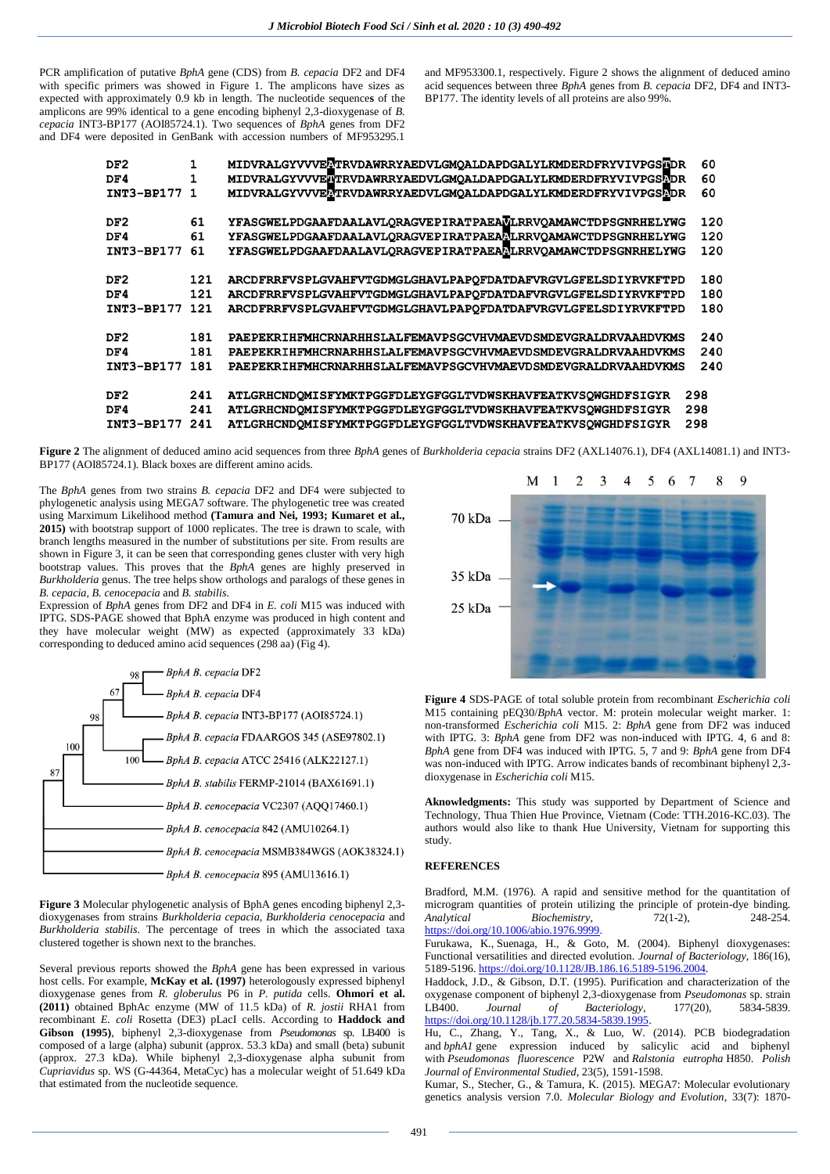PCR amplification of putative *BphA* gene (CDS) from *B. cepacia* DF2 and DF4 with specific primers was showed in Figure 1. The amplicons have sizes as expected with approximately 0.9 kb in length. The nucleotide sequence**s** of the amplicons are 99% identical to a gene encoding biphenyl 2,3-dioxygenase of *B. cepacia* INT3-BP177 (AOI85724.1). Two sequences of *BphA* genes from DF2 and DF4 were deposited in GenBank with accession numbers of MF953295.1

and MF953300.1, respectively. Figure 2 shows the alignment of deduced amino acid sequences between three *BphA* genes from *B. cepacia* DF2, DF4 and INT3- BP177. The identity levels of all proteins are also 99%.

| DF <sub>2</sub><br>DF4<br>INT3-BP177 1 | 1<br>1 | MIDVRALGYVVVELTRVDAWRRYAEDVLGMOALDAPDGALYLKMDERDFRYVIVPGSHDR<br>MIDVRALGYVVVENTRVDAWRRYAEDVLGMOALDAPDGALYLKMDERDFRYVIVPGSFDR<br>MIDVRALGYVVVELTRVDAWRRYAEDVLGMOALDAPDGALYLKMDERDFRYVIVPGSLDR | 60<br>60<br>60 |
|----------------------------------------|--------|----------------------------------------------------------------------------------------------------------------------------------------------------------------------------------------------|----------------|
| DF <sub>2</sub>                        | 61     | YFASGWELPDGAAFDAALAVLORAGVEPIRATPAEAVLRRVOAMAWCTDPSGNRHELYWG                                                                                                                                 | 120            |
| DF4                                    | 61     | YFASGWELPDGAAFDAALAVLORAGVEPIRATPAEAALRRVOAMAWCTDPSGNRHELYWG                                                                                                                                 | 120            |
| <b>INT3-BP177</b>                      | 61     | YFASGWELPDGAAFDAALAVLORAGVEPIRATPAEAALRRVOAMAWCTDPSGNRHELYWG                                                                                                                                 | 120            |
| DF <sub>2</sub>                        | 121    | ARCDFRRFVSPLGVAHFVTGDMGLGHAVLPAPOFDATDAFVRGVLGFELSDIYRVKFTPD                                                                                                                                 | 180            |
| DF4                                    | 121    | ARCDFRRFVSPLGVAHFVTGDMGLGHAVLPAPOFDATDAFVRGVLGFELSDIYRVKFTPD                                                                                                                                 | 180            |
| <b>INT3-BP177</b>                      | 121    | ARCDFRRFVSPLGVAHFVTGDMGLGHAVLPAPOFDATDAFVRGVLGFELSDIYRVKFTPD                                                                                                                                 | 180            |
| DF <sub>2</sub>                        | 181    | PAEPEKRIHFMHCRNARHHSLALFEMAVPSGCVHVMAEVDSMDEVGRALDRVAAHDVKMS                                                                                                                                 | 240            |
| DF4                                    | 181    | PAEPEKRIHFMHCRNARHHSLALFEMAVPSGCVHVMAEVDSMDEVGRALDRVAAHDVKMS                                                                                                                                 | 240            |
| <b>INT3-BP177</b>                      | 181    | PAEPEKRIHFMHCRNARHHSLALFEMAVPSGCVHVMAEVDSMDEVGRALDRVAAHDVKMS                                                                                                                                 | 240            |
| DF <sub>2</sub>                        | 241    | ATLGRHCNDOMISFYMKTPGGFDLEYGFGGLTVDWSKHAVFEATKVSOWGHDFSIGYR                                                                                                                                   | 298            |
| DF4                                    | 241    | ATLGRHCNDQMISFYMKTPGGFDLEYGFGGLTVDWSKHAVFEATKVSQWGHDFSIGYR                                                                                                                                   | 298            |
| <b>INT3-BP177</b>                      | 241    | ATLGRHCNDOMISFYMKTPGGFDLEYGFGGLTVDWSKHAVFEATKVSOWGHDFSIGYR                                                                                                                                   | 298            |

**Figure 2** The alignment of deduced amino acid sequences from three *BphA* genes of *Burkholderia cepacia* strains DF2 (AXL14076.1), DF4 (AXL14081.1) and INT3- BP177 (AOI85724.1). Black boxes are different amino acids.

The *BphA* genes from two strains *B. cepacia* DF2 and DF4 were subjected to phylogenetic analysis using MEGA7 software. The phylogenetic tree was created using Marximum Likelihood method **(Tamura and Nei, 1993; Kumaret et al., 2015)** with bootstrap support of 1000 replicates. The tree is drawn to scale, with branch lengths measured in the number of substitutions per site. From results are shown in Figure 3, it can be seen that corresponding genes cluster with very high bootstrap values. This proves that the *BphA* genes are highly preserved in *Burkholderia* genus. The tree helps show orthologs and paralogs of these genes in *B. cepacia, B. cenocepacia* and *B. stabilis*.

Expression of *BphA* genes from DF2 and DF4 in *E. coli* M15 was induced with IPTG. SDS-PAGE showed that BphA enzyme was produced in high content and they have molecular weight (MW) as expected (approximately 33 kDa) corresponding to deduced amino acid sequences (298 aa) (Fig 4).



**Figure 3** Molecular phylogenetic analysis of BphA genes encoding biphenyl 2,3 dioxygenases from strains *Burkholderia cepacia*, *Burkholderia cenocepacia* and *Burkholderia stabilis*. The percentage of trees in which the associated taxa clustered together is shown next to the branches.

Several previous reports showed the *BphA* gene has been expressed in various host cells. For example, **McKay et al. (1997)** heterologously expressed biphenyl dioxygenase genes from *R. globerulus* P6 in *P. putida* cells. **Ohmori et al. (2011)** obtained BphAc enzyme (MW of 11.5 kDa) of *R. jostii* RHA1 from recombinant *E. coli* Rosetta (DE3) pLacI cells. According to **Haddock and Gibson (1995)**, biphenyl 2,3-dioxygenase from *Pseudomonas* sp. LB400 is composed of a large (alpha) subunit (approx. 53.3 kDa) and small (beta) subunit (approx. 27.3 kDa). While biphenyl 2,3-dioxygenase alpha subunit from *Cupriavidus* sp. WS (G-44364, MetaCyc) has a molecular weight of 51.649 kDa that estimated from the nucleotide sequence.



**Figure 4** SDS-PAGE of total soluble protein from recombinant *Escherichia coli* M15 containing pEQ30/*BphA* vector. M: protein molecular weight marker. 1: non-transformed *Escherichia coli* M15. 2: *BphA* gene from DF2 was induced with IPTG. 3: *BphA* gene from DF2 was non-induced with IPTG. 4, 6 and 8: *BphA* gene from DF4 was induced with IPTG. 5, 7 and 9: *BphA* gene from DF4 was non-induced with IPTG. Arrow indicates bands of recombinant biphenyl 2,3dioxygenase in *Escherichia coli* M15.

**Aknowledgments:** This study was supported by Department of Science and Technology, Thua Thien Hue Province, Vietnam (Code: TTH.2016-KC.03). The authors would also like to thank Hue University, Vietnam for supporting this study.

### **REFERENCES**

Bradford, M.M. (1976). A rapid and sensitive method for the quantitation of microgram quantities of protein utilizing the principle of protein-dye binding.<br>Analytical Biochemistry  $72(1-2)$  248-254 *Analytical Biochemistry*, 72(1-2), [https://doi.org/10.1006/abio.1976.9999.](https://doi.org/10.1006/abio.1976.9999)

Furukawa, K., Suenaga, H., & Goto, M. (2004). Biphenyl dioxygenases: Functional versatilities and directed evolution. *Journal of Bacteriology*, 186(16), 5189-5196[. https://doi.org/10.1128/JB.186.16.5189-5196.2004.](https://doi.org/10.1128/JB.186.16.5189-5196.2004)

Haddock, J.D., & Gibson, D.T. (1995). Purification and characterization of the oxygenase component of biphenyl 2,3-dioxygenase from *Pseudomonas* sp. strain LB400. *Journal* of *Bacteriology*, 177(20), https://doi.org/10.1128/jb.177.20.5834-5839.1995

Hu, C., Zhang, Y., Tang, X., & Luo, W. (2014). PCB biodegradation and *bphA1* gene expression induced by salicylic acid and biphenyl with *Pseudomonas fluorescence* P2W and *Ralstonia eutropha* H850. *Polish Journal of Environmental Studied*, 23(5), 1591-1598.

Kumar, S., Stecher, G., & Tamura, K. (2015). MEGA7: Molecular evolutionary genetics analysis version 7.0. *Molecular Biology and Evolution*, 33(7): 1870-